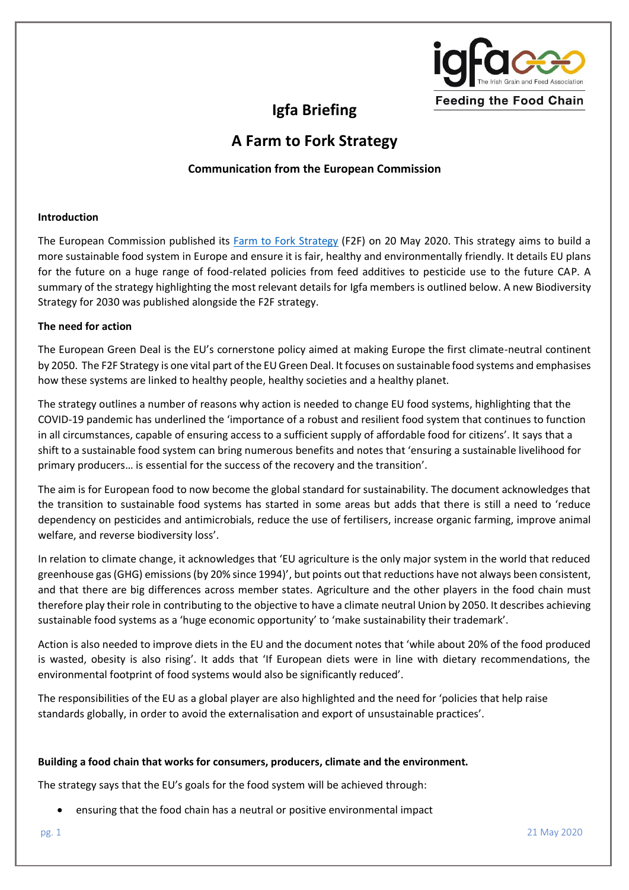

# **Igfa Briefing**

# **A Farm to Fork Strategy**

# **Communication from the European Commission**

#### **Introduction**

The European Commission published its [Farm to Fork Strategy](https://ec.europa.eu/info/sites/info/files/communication-annex-farm-fork-green-deal_en.pdf) (F2F) on 20 May 2020. This strategy aims to build a more sustainable food system in Europe and ensure it is fair, healthy and environmentally friendly. It details EU plans for the future on a huge range of food-related policies from feed additives to pesticide use to the future CAP. A summary of the strategy highlighting the most relevant details for Igfa members is outlined below. A new Biodiversity Strategy for 2030 was published alongside the F2F strategy.

#### **The need for action**

The European Green Deal is the EU's cornerstone policy aimed at making Europe the first climate-neutral continent by 2050. The F2F Strategy is one vital part of the EUGreen Deal. It focuses on sustainable food systems and emphasises how these systems are linked to healthy people, healthy societies and a healthy planet.

The strategy outlines a number of reasons why action is needed to change EU food systems, highlighting that the COVID-19 pandemic has underlined the 'importance of a robust and resilient food system that continues to function in all circumstances, capable of ensuring access to a sufficient supply of affordable food for citizens'. It says that a shift to a sustainable food system can bring numerous benefits and notes that 'ensuring a sustainable livelihood for primary producers… is essential for the success of the recovery and the transition'.

The aim is for European food to now become the global standard for sustainability. The document acknowledges that the transition to sustainable food systems has started in some areas but adds that there is still a need to 'reduce dependency on pesticides and antimicrobials, reduce the use of fertilisers, increase organic farming, improve animal welfare, and reverse biodiversity loss'.

In relation to climate change, it acknowledges that 'EU agriculture is the only major system in the world that reduced greenhouse gas (GHG) emissions (by 20% since 1994)', but points out that reductions have not always been consistent, and that there are big differences across member states. Agriculture and the other players in the food chain must therefore play their role in contributing to the objective to have a climate neutral Union by 2050. It describes achieving sustainable food systems as a 'huge economic opportunity' to 'make sustainability their trademark'.

Action is also needed to improve diets in the EU and the document notes that 'while about 20% of the food produced is wasted, obesity is also rising'. It adds that 'If European diets were in line with dietary recommendations, the environmental footprint of food systems would also be significantly reduced'.

The responsibilities of the EU as a global player are also highlighted and the need for 'policies that help raise standards globally, in order to avoid the externalisation and export of unsustainable practices'.

#### **Building a food chain that works for consumers, producers, climate and the environment.**

The strategy says that the EU's goals for the food system will be achieved through:

• ensuring that the food chain has a neutral or positive environmental impact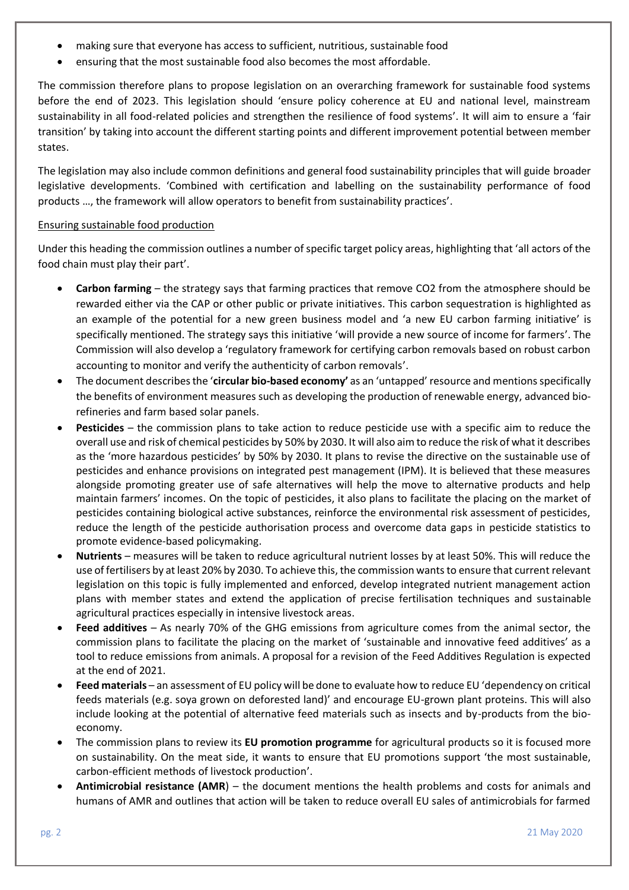- making sure that everyone has access to sufficient, nutritious, sustainable food
- ensuring that the most sustainable food also becomes the most affordable.

The commission therefore plans to propose legislation on an overarching framework for sustainable food systems before the end of 2023. This legislation should 'ensure policy coherence at EU and national level, mainstream sustainability in all food-related policies and strengthen the resilience of food systems'. It will aim to ensure a 'fair transition' by taking into account the different starting points and different improvement potential between member states.

The legislation may also include common definitions and general food sustainability principles that will guide broader legislative developments. 'Combined with certification and labelling on the sustainability performance of food products …, the framework will allow operators to benefit from sustainability practices'.

## Ensuring sustainable food production

Under this heading the commission outlines a number of specific target policy areas, highlighting that 'all actors of the food chain must play their part'.

- **Carbon farming** the strategy says that farming practices that remove CO2 from the atmosphere should be rewarded either via the CAP or other public or private initiatives. This carbon sequestration is highlighted as an example of the potential for a new green business model and 'a new EU carbon farming initiative' is specifically mentioned. The strategy says this initiative 'will provide a new source of income for farmers'. The Commission will also develop a 'regulatory framework for certifying carbon removals based on robust carbon accounting to monitor and verify the authenticity of carbon removals'.
- The document describes the '**circular bio-based economy'** as an 'untapped' resource and mentions specifically the benefits of environment measures such as developing the production of renewable energy, advanced biorefineries and farm based solar panels.
- **Pesticides**  the commission plans to take action to reduce pesticide use with a specific aim to reduce the overall use and risk of chemical pesticides by 50% by 2030. It will also aim to reduce the risk of what it describes as the 'more hazardous pesticides' by 50% by 2030. It plans to revise the directive on the sustainable use of pesticides and enhance provisions on integrated pest management (IPM). It is believed that these measures alongside promoting greater use of safe alternatives will help the move to alternative products and help maintain farmers' incomes. On the topic of pesticides, it also plans to facilitate the placing on the market of pesticides containing biological active substances, reinforce the environmental risk assessment of pesticides, reduce the length of the pesticide authorisation process and overcome data gaps in pesticide statistics to promote evidence-based policymaking.
- **Nutrients** measures will be taken to reduce agricultural nutrient losses by at least 50%. This will reduce the use of fertilisers by at least 20% by 2030. To achieve this, the commission wants to ensure that current relevant legislation on this topic is fully implemented and enforced, develop integrated nutrient management action plans with member states and extend the application of precise fertilisation techniques and sustainable agricultural practices especially in intensive livestock areas.
- **Feed additives** As nearly 70% of the GHG emissions from agriculture comes from the animal sector, the commission plans to facilitate the placing on the market of 'sustainable and innovative feed additives' as a tool to reduce emissions from animals. A proposal for a revision of the Feed Additives Regulation is expected at the end of 2021.
- **Feed materials** an assessment of EU policy will be done to evaluate how to reduce EU 'dependency on critical feeds materials (e.g. soya grown on deforested land)' and encourage EU-grown plant proteins. This will also include looking at the potential of alternative feed materials such as insects and by-products from the bioeconomy.
- The commission plans to review its **EU promotion programme** for agricultural products so it is focused more on sustainability. On the meat side, it wants to ensure that EU promotions support 'the most sustainable, carbon-efficient methods of livestock production'.
- **Antimicrobial resistance (AMR**) the document mentions the health problems and costs for animals and humans of AMR and outlines that action will be taken to reduce overall EU sales of antimicrobials for farmed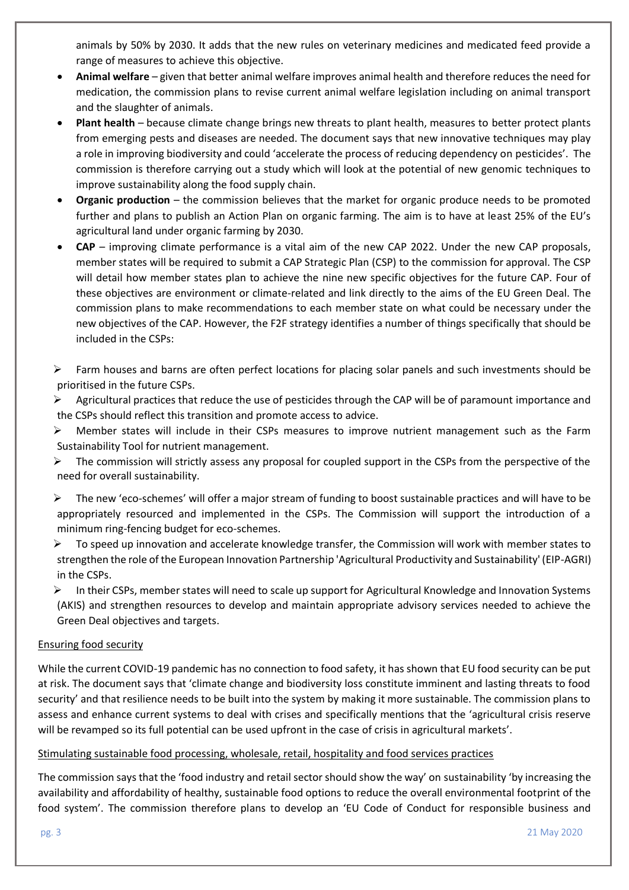animals by 50% by 2030. It adds that the new rules on veterinary medicines and medicated feed provide a range of measures to achieve this objective.

- **Animal welfare** given that better animal welfare improves animal health and therefore reduces the need for medication, the commission plans to revise current animal welfare legislation including on animal transport and the slaughter of animals.
- **Plant health** because climate change brings new threats to plant health, measures to better protect plants from emerging pests and diseases are needed. The document says that new innovative techniques may play a role in improving biodiversity and could 'accelerate the process of reducing dependency on pesticides'. The commission is therefore carrying out a study which will look at the potential of new genomic techniques to improve sustainability along the food supply chain.
- **Organic production** the commission believes that the market for organic produce needs to be promoted further and plans to publish an Action Plan on organic farming. The aim is to have at least 25% of the EU's agricultural land under organic farming by 2030.
- **CAP** improving climate performance is a vital aim of the new CAP 2022. Under the new CAP proposals, member states will be required to submit a CAP Strategic Plan (CSP) to the commission for approval. The CSP will detail how member states plan to achieve the nine new specific objectives for the future CAP. Four of these objectives are environment or climate-related and link directly to the aims of the EU Green Deal. The commission plans to make recommendations to each member state on what could be necessary under the new objectives of the CAP. However, the F2F strategy identifies a number of things specifically that should be included in the CSPs:
- $\triangleright$  Farm houses and barns are often perfect locations for placing solar panels and such investments should be prioritised in the future CSPs.
- $\triangleright$  Agricultural practices that reduce the use of pesticides through the CAP will be of paramount importance and the CSPs should reflect this transition and promote access to advice.
- ➢ Member states will include in their CSPs measures to improve nutrient management such as the Farm Sustainability Tool for nutrient management.
- $\triangleright$  The commission will strictly assess any proposal for coupled support in the CSPs from the perspective of the need for overall sustainability.
- ➢ The new 'eco-schemes' will offer a major stream of funding to boost sustainable practices and will have to be appropriately resourced and implemented in the CSPs. The Commission will support the introduction of a minimum ring-fencing budget for eco-schemes.
- $\triangleright$  To speed up innovation and accelerate knowledge transfer, the Commission will work with member states to strengthen the role of the European Innovation Partnership 'Agricultural Productivity and Sustainability' (EIP-AGRI) in the CSPs.
- ➢ In their CSPs, member states will need to scale up support for Agricultural Knowledge and Innovation Systems (AKIS) and strengthen resources to develop and maintain appropriate advisory services needed to achieve the Green Deal objectives and targets.

# Ensuring food security

While the current COVID-19 pandemic has no connection to food safety, it has shown that EU food security can be put at risk. The document says that 'climate change and biodiversity loss constitute imminent and lasting threats to food security' and that resilience needs to be built into the system by making it more sustainable. The commission plans to assess and enhance current systems to deal with crises and specifically mentions that the 'agricultural crisis reserve will be revamped so its full potential can be used upfront in the case of crisis in agricultural markets'.

#### Stimulating sustainable food processing, wholesale, retail, hospitality and food services practices

The commission says that the 'food industry and retail sector should show the way' on sustainability 'by increasing the availability and affordability of healthy, sustainable food options to reduce the overall environmental footprint of the food system'. The commission therefore plans to develop an 'EU Code of Conduct for responsible business and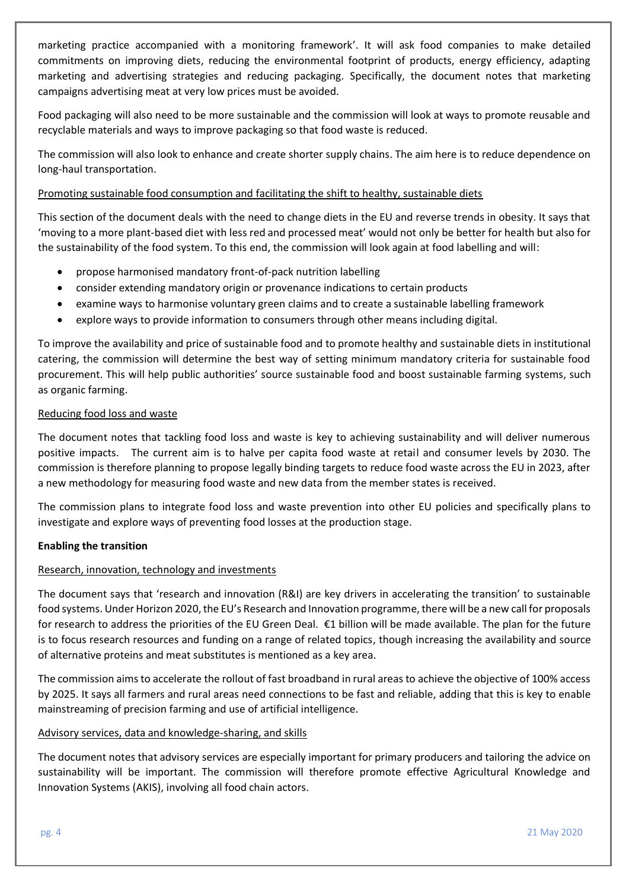marketing practice accompanied with a monitoring framework'. It will ask food companies to make detailed commitments on improving diets, reducing the environmental footprint of products, energy efficiency, adapting marketing and advertising strategies and reducing packaging. Specifically, the document notes that marketing campaigns advertising meat at very low prices must be avoided.

Food packaging will also need to be more sustainable and the commission will look at ways to promote reusable and recyclable materials and ways to improve packaging so that food waste is reduced.

The commission will also look to enhance and create shorter supply chains. The aim here is to reduce dependence on long-haul transportation.

## Promoting sustainable food consumption and facilitating the shift to healthy, sustainable diets

This section of the document deals with the need to change diets in the EU and reverse trends in obesity. It says that 'moving to a more plant-based diet with less red and processed meat' would not only be better for health but also for the sustainability of the food system. To this end, the commission will look again at food labelling and will:

- propose harmonised mandatory front-of-pack nutrition labelling
- consider extending mandatory origin or provenance indications to certain products
- examine ways to harmonise voluntary green claims and to create a sustainable labelling framework
- explore ways to provide information to consumers through other means including digital.

To improve the availability and price of sustainable food and to promote healthy and sustainable diets in institutional catering, the commission will determine the best way of setting minimum mandatory criteria for sustainable food procurement. This will help public authorities' source sustainable food and boost sustainable farming systems, such as organic farming.

## Reducing food loss and waste

The document notes that tackling food loss and waste is key to achieving sustainability and will deliver numerous positive impacts. The current aim is to halve per capita food waste at retail and consumer levels by 2030. The commission is therefore planning to propose legally binding targets to reduce food waste across the EU in 2023, after a new methodology for measuring food waste and new data from the member states is received.

The commission plans to integrate food loss and waste prevention into other EU policies and specifically plans to investigate and explore ways of preventing food losses at the production stage.

# **Enabling the transition**

# Research, innovation, technology and investments

The document says that 'research and innovation (R&I) are key drivers in accelerating the transition' to sustainable food systems. Under Horizon 2020, the EU's Research and Innovation programme, there will be a new call for proposals for research to address the priorities of the EU Green Deal. €1 billion will be made available. The plan for the future is to focus research resources and funding on a range of related topics, though increasing the availability and source of alternative proteins and meat substitutes is mentioned as a key area.

The commission aims to accelerate the rollout of fast broadband in rural areas to achieve the objective of 100% access by 2025. It says all farmers and rural areas need connections to be fast and reliable, adding that this is key to enable mainstreaming of precision farming and use of artificial intelligence.

### Advisory services, data and knowledge-sharing, and skills

The document notes that advisory services are especially important for primary producers and tailoring the advice on sustainability will be important. The commission will therefore promote effective Agricultural Knowledge and Innovation Systems (AKIS), involving all food chain actors.